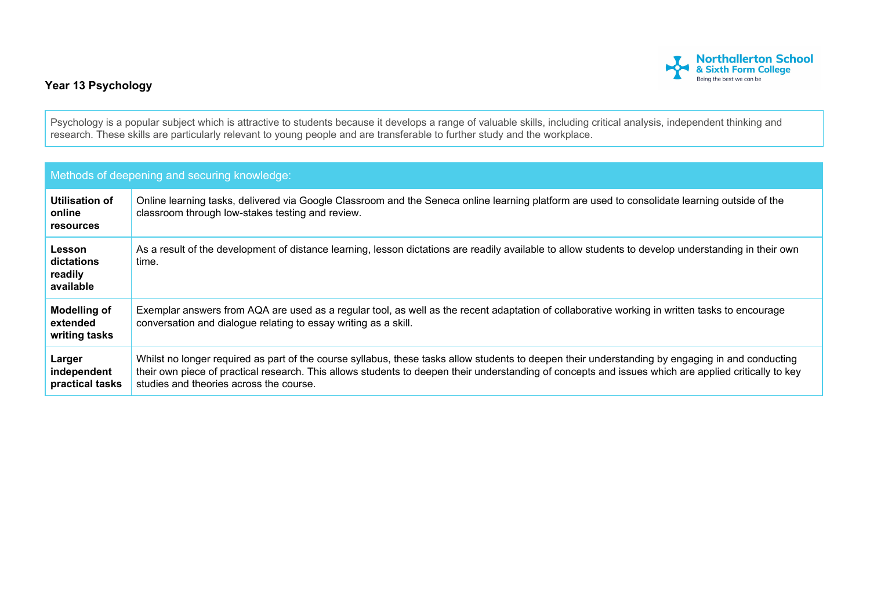

## **Year 13 Psychology**

Psychology is a popular subject which is attractive to students because it develops a range of valuable skills, including critical analysis, independent thinking and research. These skills are particularly relevant to young people and are transferable to further study and the workplace.

| Methods of deepening and securing knowledge:     |                                                                                                                                                                                                                                                                                                                                                     |  |  |
|--------------------------------------------------|-----------------------------------------------------------------------------------------------------------------------------------------------------------------------------------------------------------------------------------------------------------------------------------------------------------------------------------------------------|--|--|
| Utilisation of<br>online<br><b>resources</b>     | Online learning tasks, delivered via Google Classroom and the Seneca online learning platform are used to consolidate learning outside of the<br>classroom through low-stakes testing and review.                                                                                                                                                   |  |  |
| Lesson<br>dictations<br>readily<br>available     | As a result of the development of distance learning, lesson dictations are readily available to allow students to develop understanding in their own<br>time.                                                                                                                                                                                       |  |  |
| <b>Modelling of</b><br>extended<br>writing tasks | Exemplar answers from AQA are used as a regular tool, as well as the recent adaptation of collaborative working in written tasks to encourage<br>conversation and dialogue relating to essay writing as a skill.                                                                                                                                    |  |  |
| Larger<br>independent<br>practical tasks         | Whilst no longer required as part of the course syllabus, these tasks allow students to deepen their understanding by engaging in and conducting<br>their own piece of practical research. This allows students to deepen their understanding of concepts and issues which are applied critically to key<br>studies and theories across the course. |  |  |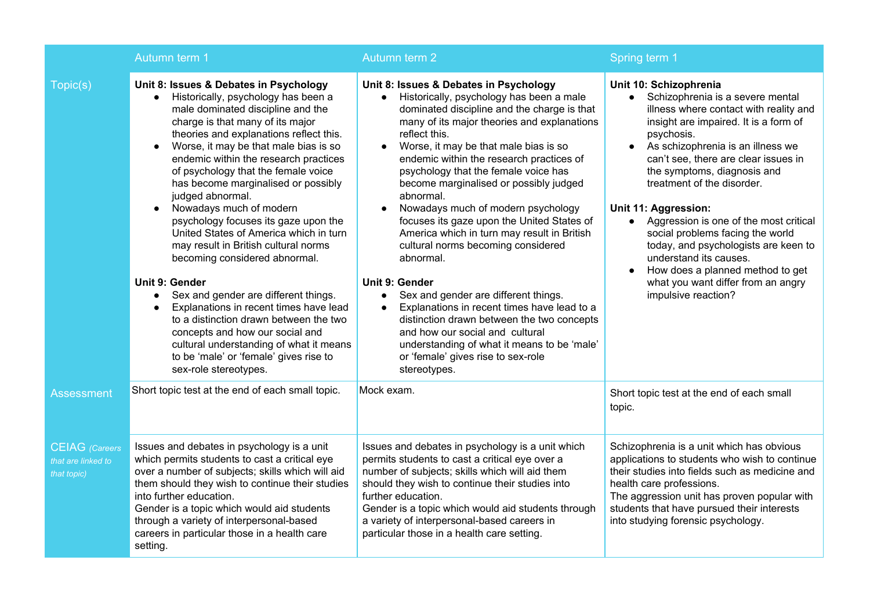|                                                            | Autumn term 1                                                                                                                                                                                                                                                                                                                                                                                                                                                                                                                                                                                                                                                                                                                                                                                                                                                                                                            | Autumn term 2                                                                                                                                                                                                                                                                                                                                                                                                                                                                                                                                                                                                                                                                                                                                                                                                                                                                                                     | Spring term 1                                                                                                                                                                                                                                                                                                                                                                                                                                                                                                                                                                                 |
|------------------------------------------------------------|--------------------------------------------------------------------------------------------------------------------------------------------------------------------------------------------------------------------------------------------------------------------------------------------------------------------------------------------------------------------------------------------------------------------------------------------------------------------------------------------------------------------------------------------------------------------------------------------------------------------------------------------------------------------------------------------------------------------------------------------------------------------------------------------------------------------------------------------------------------------------------------------------------------------------|-------------------------------------------------------------------------------------------------------------------------------------------------------------------------------------------------------------------------------------------------------------------------------------------------------------------------------------------------------------------------------------------------------------------------------------------------------------------------------------------------------------------------------------------------------------------------------------------------------------------------------------------------------------------------------------------------------------------------------------------------------------------------------------------------------------------------------------------------------------------------------------------------------------------|-----------------------------------------------------------------------------------------------------------------------------------------------------------------------------------------------------------------------------------------------------------------------------------------------------------------------------------------------------------------------------------------------------------------------------------------------------------------------------------------------------------------------------------------------------------------------------------------------|
| Topic(s)                                                   | Unit 8: Issues & Debates in Psychology<br>Historically, psychology has been a<br>$\bullet$<br>male dominated discipline and the<br>charge is that many of its major<br>theories and explanations reflect this.<br>Worse, it may be that male bias is so<br>endemic within the research practices<br>of psychology that the female voice<br>has become marginalised or possibly<br>judged abnormal.<br>Nowadays much of modern<br>psychology focuses its gaze upon the<br>United States of America which in turn<br>may result in British cultural norms<br>becoming considered abnormal.<br><b>Unit 9: Gender</b><br>Sex and gender are different things.<br>$\bullet$<br>Explanations in recent times have lead<br>$\bullet$<br>to a distinction drawn between the two<br>concepts and how our social and<br>cultural understanding of what it means<br>to be 'male' or 'female' gives rise to<br>sex-role stereotypes. | Unit 8: Issues & Debates in Psychology<br>Historically, psychology has been a male<br>$\bullet$<br>dominated discipline and the charge is that<br>many of its major theories and explanations<br>reflect this.<br>Worse, it may be that male bias is so<br>$\bullet$<br>endemic within the research practices of<br>psychology that the female voice has<br>become marginalised or possibly judged<br>abnormal.<br>Nowadays much of modern psychology<br>focuses its gaze upon the United States of<br>America which in turn may result in British<br>cultural norms becoming considered<br>abnormal.<br>Unit 9: Gender<br>Sex and gender are different things.<br>$\bullet$<br>Explanations in recent times have lead to a<br>distinction drawn between the two concepts<br>and how our social and cultural<br>understanding of what it means to be 'male'<br>or 'female' gives rise to sex-role<br>stereotypes. | Unit 10: Schizophrenia<br>Schizophrenia is a severe mental<br>$\bullet$<br>illness where contact with reality and<br>insight are impaired. It is a form of<br>psychosis.<br>As schizophrenia is an illness we<br>can't see, there are clear issues in<br>the symptoms, diagnosis and<br>treatment of the disorder.<br>Unit 11: Aggression:<br>• Aggression is one of the most critical<br>social problems facing the world<br>today, and psychologists are keen to<br>understand its causes.<br>How does a planned method to get<br>what you want differ from an angry<br>impulsive reaction? |
| <b>Assessment</b>                                          | Short topic test at the end of each small topic.                                                                                                                                                                                                                                                                                                                                                                                                                                                                                                                                                                                                                                                                                                                                                                                                                                                                         | Mock exam.                                                                                                                                                                                                                                                                                                                                                                                                                                                                                                                                                                                                                                                                                                                                                                                                                                                                                                        | Short topic test at the end of each small<br>topic.                                                                                                                                                                                                                                                                                                                                                                                                                                                                                                                                           |
| <b>CEIAG</b> (Careers<br>that are linked to<br>that topic) | Issues and debates in psychology is a unit<br>which permits students to cast a critical eye<br>over a number of subjects; skills which will aid<br>them should they wish to continue their studies<br>into further education.<br>Gender is a topic which would aid students<br>through a variety of interpersonal-based<br>careers in particular those in a health care<br>setting.                                                                                                                                                                                                                                                                                                                                                                                                                                                                                                                                      | Issues and debates in psychology is a unit which<br>permits students to cast a critical eye over a<br>number of subjects; skills which will aid them<br>should they wish to continue their studies into<br>further education.<br>Gender is a topic which would aid students through<br>a variety of interpersonal-based careers in<br>particular those in a health care setting.                                                                                                                                                                                                                                                                                                                                                                                                                                                                                                                                  | Schizophrenia is a unit which has obvious<br>applications to students who wish to continue<br>their studies into fields such as medicine and<br>health care professions.<br>The aggression unit has proven popular with<br>students that have pursued their interests<br>into studying forensic psychology.                                                                                                                                                                                                                                                                                   |